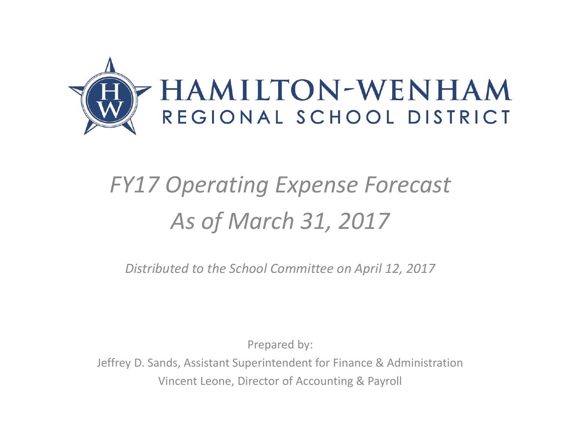

## *FY17 Operating Expense Forecast As of March 31, 2017*

*Distributed to the School Committee on April 12, 2017*

Prepared by:

Jeffrey D. Sands, Assistant Superintendent for Finance & Administration Vincent Leone, Director of Accounting & Payroll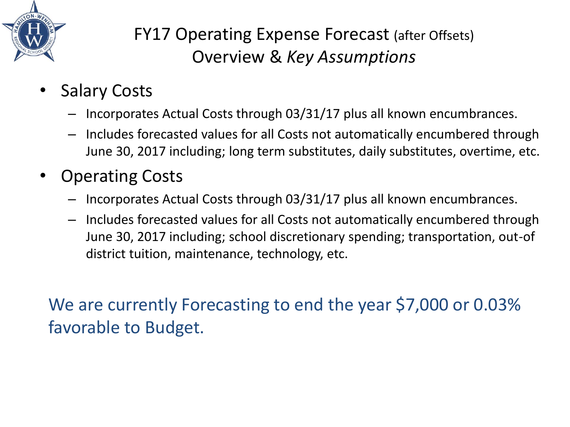

## FY17 Operating Expense Forecast (after Offsets) Overview & *Key Assumptions*

- **Salary Costs** 
	- Incorporates Actual Costs through 03/31/17 plus all known encumbrances.
	- Includes forecasted values for all Costs not automatically encumbered through June 30, 2017 including; long term substitutes, daily substitutes, overtime, etc.
- Operating Costs
	- Incorporates Actual Costs through 03/31/17 plus all known encumbrances.
	- Includes forecasted values for all Costs not automatically encumbered through June 30, 2017 including; school discretionary spending; transportation, out-of district tuition, maintenance, technology, etc.

We are currently Forecasting to end the year \$7,000 or 0.03% favorable to Budget.